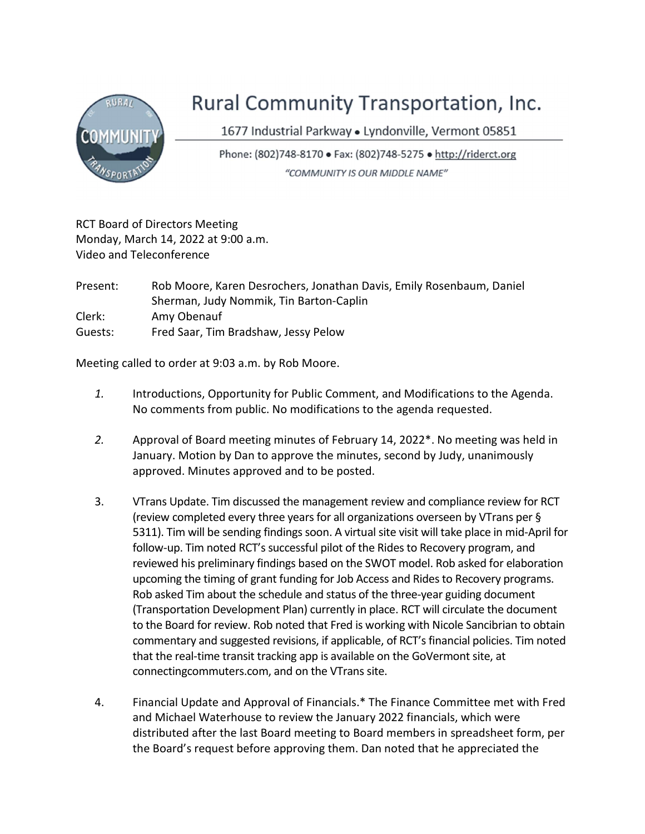

## Rural Community Transportation, Inc.

1677 Industrial Parkway · Lyndonville, Vermont 05851

Phone: (802)748-8170 • Fax: (802)748-5275 • http://riderct.org "COMMUNITY IS OUR MIDDLE NAME"

RCT Board of Directors Meeting Monday, March 14, 2022 at 9:00 a.m. Video and Teleconference

Present: Rob Moore, Karen Desrochers, Jonathan Davis, Emily Rosenbaum, Daniel Sherman, Judy Nommik, Tin Barton-Caplin Clerk: Amy Obenauf Guests: Fred Saar, Tim Bradshaw, Jessy Pelow

Meeting called to order at 9:03 a.m. by Rob Moore.

- 1. Introductions, Opportunity for Public Comment, and Modifications to the Agenda. No comments from public. No modifications to the agenda requested.
- 2. Approval of Board meeting minutes of February 14, 2022\*. No meeting was held in January. Motion by Dan to approve the minutes, second by Judy, unanimously approved. Minutes approved and to be posted.
- 3. VTrans Update. Tim discussed the management review and compliance review for RCT (review completed every three years for all organizations overseen by VTrans per § 5311). Tim will be sending findings soon. A virtual site visit will take place in mid-April for follow-up. Tim noted RCT's successful pilot of the Rides to Recovery program, and reviewed his preliminary findings based on the SWOT model. Rob asked for elaboration upcoming the timing of grant funding for Job Access and Rides to Recovery programs. Rob asked Tim about the schedule and status of the three-year guiding document (Transportation Development Plan) currently in place. RCT will circulate the document to the Board for review. Rob noted that Fred is working with Nicole Sancibrian to obtain commentary and suggested revisions, if applicable, of RCT's financial policies. Tim noted that the real-time transit tracking app is available on the GoVermont site, at connectingcommuters.com, and on the VTrans site.
- 4. Financial Update and Approval of Financials.\* The Finance Committee met with Fred and Michael Waterhouse to review the January 2022 financials, which were distributed after the last Board meeting to Board members in spreadsheet form, per the Board's request before approving them. Dan noted that he appreciated the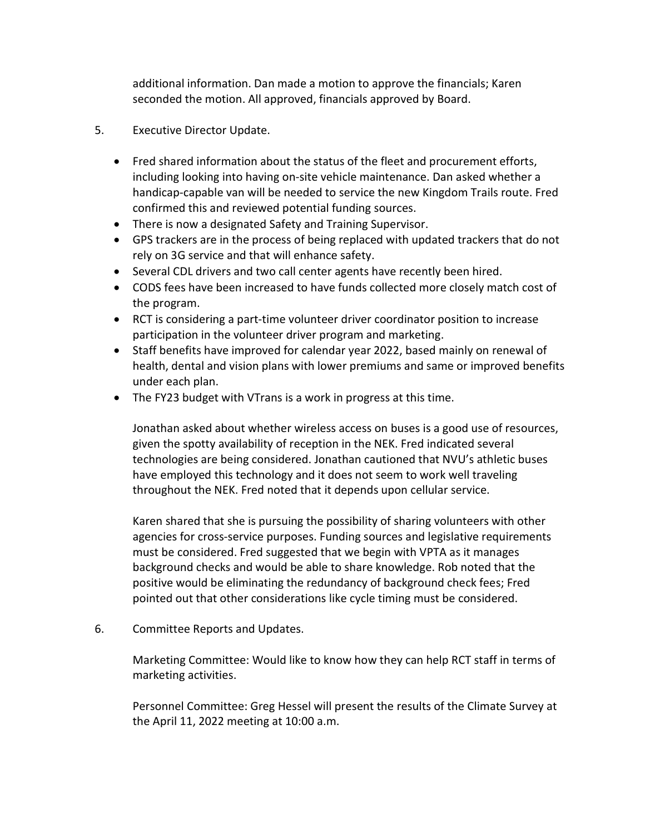additional information. Dan made a motion to approve the financials; Karen seconded the motion. All approved, financials approved by Board.

- 5. Executive Director Update.
	- Fred shared information about the status of the fleet and procurement efforts, including looking into having on-site vehicle maintenance. Dan asked whether a handicap-capable van will be needed to service the new Kingdom Trails route. Fred confirmed this and reviewed potential funding sources.
	- There is now a designated Safety and Training Supervisor.
	- GPS trackers are in the process of being replaced with updated trackers that do not rely on 3G service and that will enhance safety.
	- Several CDL drivers and two call center agents have recently been hired.
	- CODS fees have been increased to have funds collected more closely match cost of the program.
	- RCT is considering a part-time volunteer driver coordinator position to increase participation in the volunteer driver program and marketing.
	- Staff benefits have improved for calendar year 2022, based mainly on renewal of health, dental and vision plans with lower premiums and same or improved benefits under each plan.
	- The FY23 budget with VTrans is a work in progress at this time.

Jonathan asked about whether wireless access on buses is a good use of resources, given the spotty availability of reception in the NEK. Fred indicated several technologies are being considered. Jonathan cautioned that NVU's athletic buses have employed this technology and it does not seem to work well traveling throughout the NEK. Fred noted that it depends upon cellular service.

Karen shared that she is pursuing the possibility of sharing volunteers with other agencies for cross-service purposes. Funding sources and legislative requirements must be considered. Fred suggested that we begin with VPTA as it manages background checks and would be able to share knowledge. Rob noted that the positive would be eliminating the redundancy of background check fees; Fred pointed out that other considerations like cycle timing must be considered.

6. Committee Reports and Updates.

Marketing Committee: Would like to know how they can help RCT staff in terms of marketing activities.

Personnel Committee: Greg Hessel will present the results of the Climate Survey at the April 11, 2022 meeting at 10:00 a.m.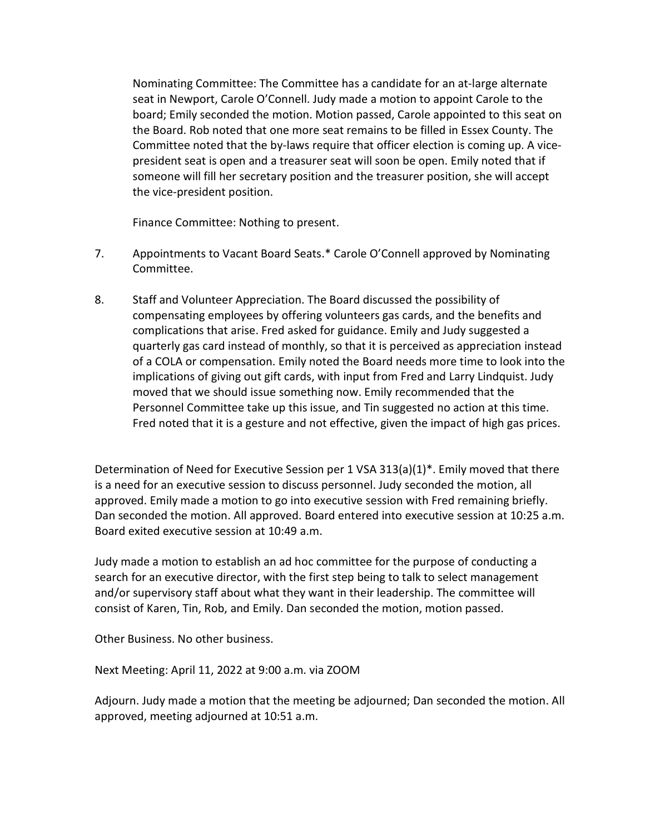Nominating Committee: The Committee has a candidate for an at-large alternate seat in Newport, Carole O'Connell. Judy made a motion to appoint Carole to the board; Emily seconded the motion. Motion passed, Carole appointed to this seat on the Board. Rob noted that one more seat remains to be filled in Essex County. The Committee noted that the by-laws require that officer election is coming up. A vicepresident seat is open and a treasurer seat will soon be open. Emily noted that if someone will fill her secretary position and the treasurer position, she will accept the vice-president position.

Finance Committee: Nothing to present.

- 7. Appointments to Vacant Board Seats.\* Carole O'Connell approved by Nominating Committee.
- 8. Staff and Volunteer Appreciation. The Board discussed the possibility of compensating employees by offering volunteers gas cards, and the benefits and complications that arise. Fred asked for guidance. Emily and Judy suggested a quarterly gas card instead of monthly, so that it is perceived as appreciation instead of a COLA or compensation. Emily noted the Board needs more time to look into the implications of giving out gift cards, with input from Fred and Larry Lindquist. Judy moved that we should issue something now. Emily recommended that the Personnel Committee take up this issue, and Tin suggested no action at this time. Fred noted that it is a gesture and not effective, given the impact of high gas prices.

Determination of Need for Executive Session per 1 VSA 313(a)(1)\*. Emily moved that there is a need for an executive session to discuss personnel. Judy seconded the motion, all approved. Emily made a motion to go into executive session with Fred remaining briefly. Dan seconded the motion. All approved. Board entered into executive session at 10:25 a.m. Board exited executive session at 10:49 a.m.

Judy made a motion to establish an ad hoc committee for the purpose of conducting a search for an executive director, with the first step being to talk to select management and/or supervisory staff about what they want in their leadership. The committee will consist of Karen, Tin, Rob, and Emily. Dan seconded the motion, motion passed.

Other Business. No other business.

Next Meeting: April 11, 2022 at 9:00 a.m. via ZOOM

Adjourn. Judy made a motion that the meeting be adjourned; Dan seconded the motion. All approved, meeting adjourned at 10:51 a.m.